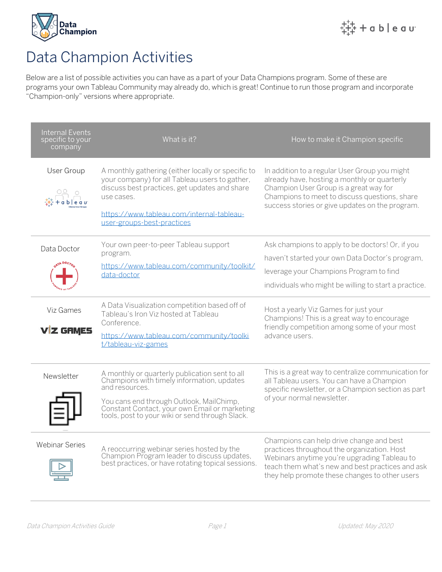



## Data Champion Activities

Below are a list of possible activities you can have as a part of your Data Champions program. Some of these are programs your own Tableau Community may already do, which is great! Continue to run those program and incorporate "Champion-only" versions where appropriate.

| <b>Internal Events</b><br>specific to your<br>company | What is it?                                                                                                                                                                                                                                                    | How to make it Champion specific                                                                                                                                                                                                              |
|-------------------------------------------------------|----------------------------------------------------------------------------------------------------------------------------------------------------------------------------------------------------------------------------------------------------------------|-----------------------------------------------------------------------------------------------------------------------------------------------------------------------------------------------------------------------------------------------|
| User Group                                            | A monthly gathering (either locally or specific to<br>your company) for all Tableau users to gather,<br>discuss best practices, get updates and share<br>use cases.<br>https://www.tableau.com/internal-tableau-<br>user-groups-best-practices                 | In addition to a regular User Group you might<br>already have, hosting a monthly or quarterly<br>Champion User Group is a great way for<br>Champions to meet to discuss questions, share<br>success stories or give updates on the program.   |
| Data Doctor                                           | Your own peer-to-peer Tableau support<br>program.<br>https://www.tableau.com/community/toolkit/<br>data-doctor                                                                                                                                                 | Ask champions to apply to be doctors! Or, if you<br>haven't started your own Data Doctor's program,<br>leverage your Champions Program to find<br>individuals who might be willing to start a practice.                                       |
| Viz Games<br><b>VIZ GRMES</b>                         | A Data Visualization competition based off of<br>Tableau's Iron Viz hosted at Tableau<br>Conference.<br>https://www.tableau.com/community/toolki<br>t/tableau-viz-games                                                                                        | Host a yearly Viz Games for just your<br>Champions! This is a great way to encourage<br>friendly competition among some of your most<br>advance users.                                                                                        |
| Newsletter                                            | A monthly or quarterly publication sent to all<br>Champions with timely information, updates<br>and resources.<br>You cans end through Outlook, MailChimp,<br>Constant Contact, your own Email or marketing<br>tools, post to your wiki or send through Slack. | This is a great way to centralize communication for<br>all Tableau users. You can have a Champion<br>specific newsletter, or a Champion section as part<br>of your normal newsletter.                                                         |
| <b>Webinar Series</b>                                 | A reoccurring webinar series hosted by the<br>Champion Program leader to discuss updates,<br>best practices, or have rotating topical sessions.                                                                                                                | Champions can help drive change and best<br>practices throughout the organization. Host<br>Webinars anytime you're upgrading Tableau to<br>teach them what's new and best practices and ask<br>they help promote these changes to other users |